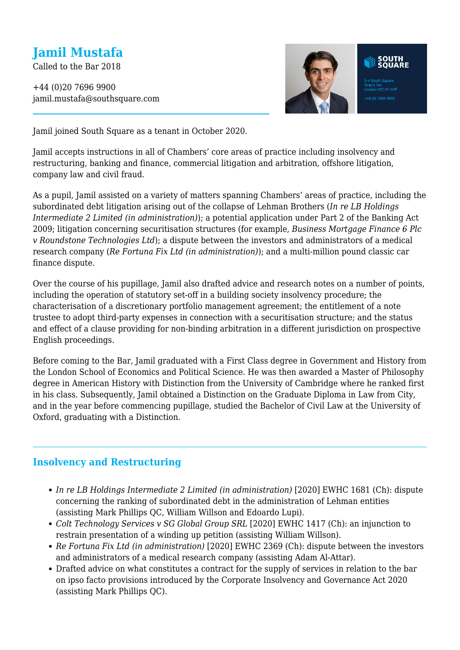# **Jamil Mustafa**

Called to the Bar 2018

+44 (0)20 7696 9900 jamil.mustafa@southsquare.com



Jamil joined South Square as a tenant in October 2020.

Jamil accepts instructions in all of Chambers' core areas of practice including insolvency and restructuring, banking and finance, commercial litigation and arbitration, offshore litigation, company law and civil fraud.

As a pupil, Jamil assisted on a variety of matters spanning Chambers' areas of practice, including the subordinated debt litigation arising out of the collapse of Lehman Brothers (*In re LB Holdings Intermediate 2 Limited (in administration)*); a potential application under Part 2 of the Banking Act 2009; litigation concerning securitisation structures (for example, *Business Mortgage Finance 6 Plc v Roundstone Technologies Ltd*); a dispute between the investors and administrators of a medical research company (*Re Fortuna Fix Ltd (in administration)*); and a multi-million pound classic car finance dispute.

Over the course of his pupillage, Jamil also drafted advice and research notes on a number of points, including the operation of statutory set-off in a building society insolvency procedure; the characterisation of a discretionary portfolio management agreement; the entitlement of a note trustee to adopt third-party expenses in connection with a securitisation structure; and the status and effect of a clause providing for non-binding arbitration in a different jurisdiction on prospective English proceedings.

Before coming to the Bar, Jamil graduated with a First Class degree in Government and History from the London School of Economics and Political Science. He was then awarded a Master of Philosophy degree in American History with Distinction from the University of Cambridge where he ranked first in his class. Subsequently, Jamil obtained a Distinction on the Graduate Diploma in Law from City, and in the year before commencing pupillage, studied the Bachelor of Civil Law at the University of Oxford, graduating with a Distinction.

## **Insolvency and Restructuring**

- *In re LB Holdings Intermediate 2 Limited (in administration)* [2020] EWHC 1681 (Ch): dispute concerning the ranking of subordinated debt in the administration of Lehman entities (assisting Mark Phillips QC, William Willson and Edoardo Lupi).
- *Colt Technology Services v SG Global Group SRL* [2020] EWHC 1417 (Ch): an injunction to restrain presentation of a winding up petition (assisting William Willson).
- *Re Fortuna Fix Ltd (in administration)* [2020] EWHC 2369 (Ch): dispute between the investors and administrators of a medical research company (assisting Adam Al-Attar).
- Drafted advice on what constitutes a contract for the supply of services in relation to the bar on ipso facto provisions introduced by the Corporate Insolvency and Governance Act 2020 (assisting Mark Phillips QC).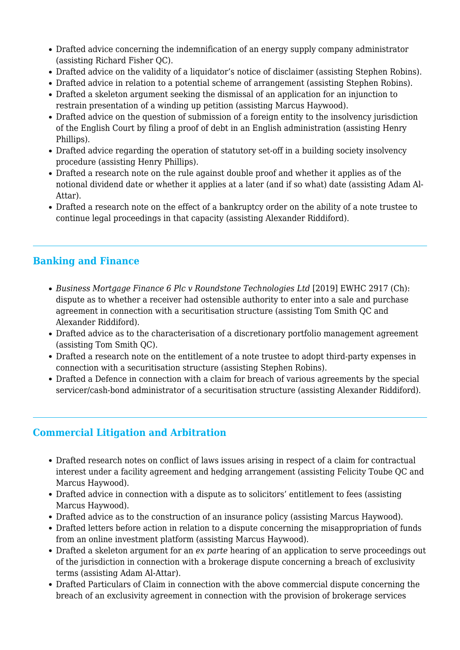- Drafted advice concerning the indemnification of an energy supply company administrator (assisting Richard Fisher QC).
- Drafted advice on the validity of a liquidator's notice of disclaimer (assisting Stephen Robins).
- Drafted advice in relation to a potential scheme of arrangement (assisting Stephen Robins).
- Drafted a skeleton argument seeking the dismissal of an application for an injunction to restrain presentation of a winding up petition (assisting Marcus Haywood).
- Drafted advice on the question of submission of a foreign entity to the insolvency jurisdiction of the English Court by filing a proof of debt in an English administration (assisting Henry Phillips).
- Drafted advice regarding the operation of statutory set-off in a building society insolvency procedure (assisting Henry Phillips).
- Drafted a research note on the rule against double proof and whether it applies as of the notional dividend date or whether it applies at a later (and if so what) date (assisting Adam Al-Attar).
- Drafted a research note on the effect of a bankruptcy order on the ability of a note trustee to continue legal proceedings in that capacity (assisting Alexander Riddiford).

# **Banking and Finance**

- *Business Mortgage Finance 6 Plc v Roundstone Technologies Ltd* [2019] EWHC 2917 (Ch): dispute as to whether a receiver had ostensible authority to enter into a sale and purchase agreement in connection with a securitisation structure (assisting Tom Smith QC and Alexander Riddiford).
- Drafted advice as to the characterisation of a discretionary portfolio management agreement (assisting Tom Smith QC).
- Drafted a research note on the entitlement of a note trustee to adopt third-party expenses in connection with a securitisation structure (assisting Stephen Robins).
- Drafted a Defence in connection with a claim for breach of various agreements by the special servicer/cash-bond administrator of a securitisation structure (assisting Alexander Riddiford).

## **Commercial Litigation and Arbitration**

- Drafted research notes on conflict of laws issues arising in respect of a claim for contractual interest under a facility agreement and hedging arrangement (assisting Felicity Toube QC and Marcus Haywood).
- Drafted advice in connection with a dispute as to solicitors' entitlement to fees (assisting Marcus Haywood).
- Drafted advice as to the construction of an insurance policy (assisting Marcus Haywood).
- Drafted letters before action in relation to a dispute concerning the misappropriation of funds from an online investment platform (assisting Marcus Haywood).
- Drafted a skeleton argument for an *ex parte* hearing of an application to serve proceedings out of the jurisdiction in connection with a brokerage dispute concerning a breach of exclusivity terms (assisting Adam Al-Attar).
- Drafted Particulars of Claim in connection with the above commercial dispute concerning the breach of an exclusivity agreement in connection with the provision of brokerage services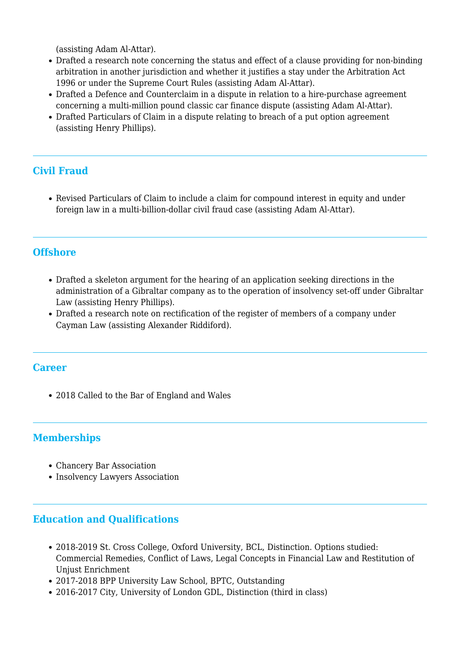(assisting Adam Al-Attar).

- Drafted a research note concerning the status and effect of a clause providing for non-binding arbitration in another jurisdiction and whether it justifies a stay under the Arbitration Act 1996 or under the Supreme Court Rules (assisting Adam Al-Attar).
- Drafted a Defence and Counterclaim in a dispute in relation to a hire-purchase agreement concerning a multi-million pound classic car finance dispute (assisting Adam Al-Attar).
- Drafted Particulars of Claim in a dispute relating to breach of a put option agreement (assisting Henry Phillips).

# **Civil Fraud**

Revised Particulars of Claim to include a claim for compound interest in equity and under foreign law in a multi-billion-dollar civil fraud case (assisting Adam Al-Attar).

#### **Offshore**

- Drafted a skeleton argument for the hearing of an application seeking directions in the administration of a Gibraltar company as to the operation of insolvency set-off under Gibraltar Law (assisting Henry Phillips).
- Drafted a research note on rectification of the register of members of a company under Cayman Law (assisting Alexander Riddiford).

#### **Career**

2018 Called to the Bar of England and Wales

## **Memberships**

- Chancery Bar Association
- Insolvency Lawyers Association

#### **Education and Qualifications**

- 2018-2019 St. Cross College, Oxford University, BCL, Distinction. Options studied: Commercial Remedies, Conflict of Laws, Legal Concepts in Financial Law and Restitution of Unjust Enrichment
- 2017-2018 BPP University Law School, BPTC, Outstanding
- 2016-2017 City, University of London GDL, Distinction (third in class)